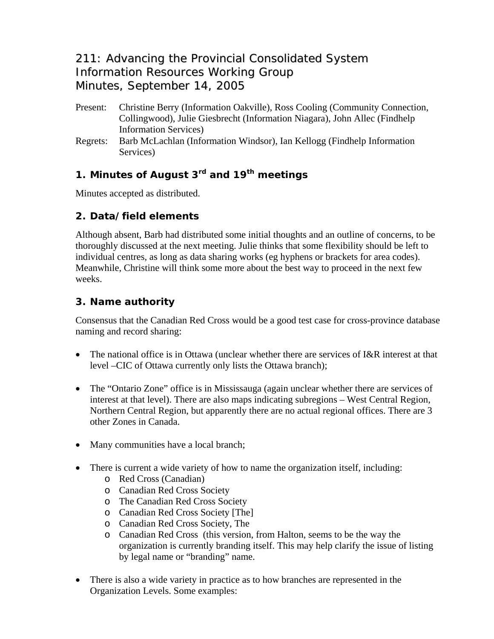## 211: Advancing the Provincial Consolidated System Information Resources Working Group Minutes, September 14, 2005

- Present: Christine Berry (Information Oakville), Ross Cooling (Community Connection, Collingwood), Julie Giesbrecht (Information Niagara), John Allec (Findhelp Information Services)
- Regrets: Barb McLachlan (Information Windsor), Ian Kellogg (Findhelp Information Services)

# **1. Minutes of August 3rd and 19th meetings**

Minutes accepted as distributed.

### **2. Data/field elements**

Although absent, Barb had distributed some initial thoughts and an outline of concerns, to be thoroughly discussed at the next meeting. Julie thinks that some flexibility should be left to individual centres, as long as data sharing works (eg hyphens or brackets for area codes). Meanwhile, Christine will think some more about the best way to proceed in the next few weeks.

### **3. Name authority**

Consensus that the Canadian Red Cross would be a good test case for cross-province database naming and record sharing:

- The national office is in Ottawa (unclear whether there are services of I&R interest at that level –CIC of Ottawa currently only lists the Ottawa branch);
- The "Ontario Zone" office is in Mississauga (again unclear whether there are services of interest at that level). There are also maps indicating subregions – West Central Region, Northern Central Region, but apparently there are no actual regional offices. There are 3 other Zones in Canada.
- Many communities have a local branch;
- There is current a wide variety of how to name the organization itself, including:
	- o Red Cross (Canadian)
	- o Canadian Red Cross Society
	- o The Canadian Red Cross Society
	- o Canadian Red Cross Society [The]
	- o Canadian Red Cross Society, The
	- o Canadian Red Cross (this version, from Halton, seems to be the way the organization is currently branding itself. This may help clarify the issue of listing by legal name or "branding" name.
- There is also a wide variety in practice as to how branches are represented in the Organization Levels. Some examples: